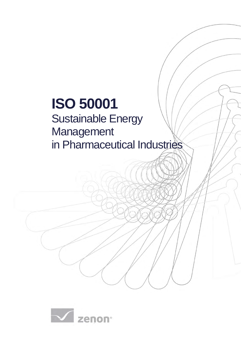# **ISO 50001**

## Sustainable Energy Management in Pharmaceutical Industries

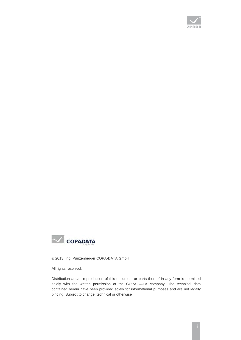



© 2013 Ing. Punzenberger COPA-DATA GmbH

All rights reserved.

Distribution and/or reproduction of this document or parts thereof in any form is permitted solely with the written permission of the COPA-DATA company. The technical data contained herein have been provided solely for informational purposes and are not legally binding. Subject to change, technical or otherwise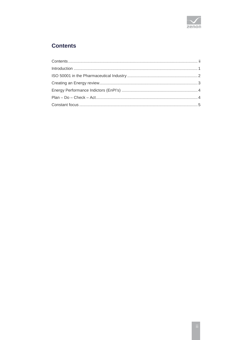

## <span id="page-2-0"></span>**Contents**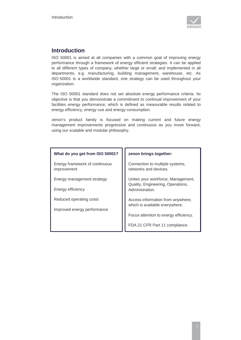

## <span id="page-3-0"></span>**Introduction**

ISO 50001 is aimed at all companies with a common goal of improving energy performance through a framework of energy efficient strategies. It can be applied to all different types of company, whether large or small; and implemented in all departments, e.g. manufacturing, building management, warehouse, etc. As ISO 50001 is a worldwide standard, one strategy can be used throughout your organization.

The ISO 50001 standard does not set absolute energy performance criteria. Its objective is that you demonstrate a commitment to continual improvement of your facilities energy performance; which is defined as measurable results related to energy efficiency, energy use and energy consumption.

zenon's product family is focused on making current and future energy management improvements progressive and continuous as you move forward, using our scalable and modular philosophy.

| zenon brings together:                                                  |
|-------------------------------------------------------------------------|
| Connection to multiple systems,<br>networks and devices.                |
| Unites your workforce, Management,<br>Quality, Engineering, Operations, |
| Administration.                                                         |
| Access information from anywhere,<br>which is available everywhere.     |
|                                                                         |
| Focus attention to energy efficiency.                                   |
| FDA 21 CFR Part 11 compliance.                                          |
|                                                                         |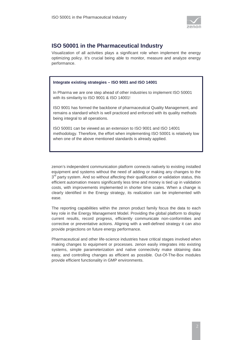

## <span id="page-4-0"></span>**ISO 50001 in the Pharmaceutical Industry**

Visualization of all activities plays a significant role when implement the energy optimizing policy. It's crucial being able to monitor, measure and analyze energy performance.

#### **Integrate existing strategies – ISO 9001 and ISO 14001**

In Pharma we are one step ahead of other industries to implement ISO 50001 with its similarity to ISO 9001 & ISO 14001!

ISO 9001 has formed the backbone of pharmaceutical Quality Management, and remains a standard which is well practiced and enforced with its quality methods being integral to all operations.

ISO 50001 can be viewed as an extension to ISO 9001 and ISO 14001 methodology. Therefore, the effort when implementing ISO 50001 is relatively low when one of the above mentioned standards is already applied.

zenon's independent communication platform connects natively to existing installed equipment and systems without the need of adding or making any changes to the  $3<sup>rd</sup>$  party system. And so without affecting their qualification or validation status, this efficient automation means significantly less time and money is tied up in validation costs, with improvements implemented in shorter time scales. When a change is clearly identified in the Energy strategy, its realization can be implemented with ease.

The reporting capabilities within the zenon product family focus the data to each key role in the Energy Management Model. Providing the global platform to display current results, record progress, efficiently communicate non-conformities and corrective or preventative actions. Aligning with a well-defined strategy it can also provide projections on future energy performance.

Pharmaceutical and other life-science industries have critical stages involved when making changes to equipment or processes. zenon easily integrates into existing systems, simple parameterization and native connectivity make obtaining data easy, and controlling changes as efficient as possible. Out-Of-The-Box modules provide efficient functionality in GMP environments.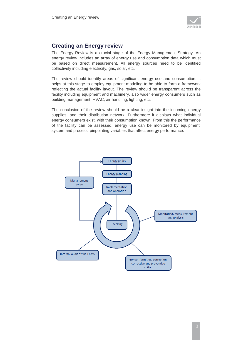

## <span id="page-5-0"></span>**Creating an Energy review**

The Energy Review is a crucial stage of the Energy Management Strategy. An energy review includes an array of energy use and consumption data which must be based on direct measurement. All energy sources need to be identified collectively including electricity, gas, solar, etc.

The review should identify areas of significant energy use and consumption. It helps at this stage to employ equipment modeling to be able to form a framework reflecting the actual facility layout. The review should be transparent across the facility including equipment and machinery, also wider energy consumers such as building management, HVAC, air handling, lighting, etc.

The conclusion of the review should be a clear insight into the incoming energy supplies, and their distribution network. Furthermore it displays what individual energy consumers exist, with their consumption known. From this the performance of the facility can be assessed, energy use can be monitored by equipment, system and process; pinpointing variables that affect energy performance.

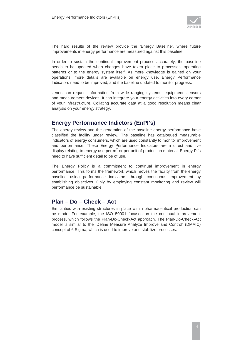

The hard results of the review provide the 'Energy Baseline', where future improvements in energy performance are measured against this baseline.

In order to sustain the continual improvement process accurately, the baseline needs to be updated when changes have taken place to processes, operating patterns or to the energy system itself. As more knowledge is gained on your operations, more details are available on energy use. Energy Performance Indicators need to be improved, and the baseline updated to monitor progress.

zenon can request information from wide ranging systems, equipment, sensors and measurement devices. It can integrate your energy activities into every corner of your infrastructure. Collating accurate data at a good resolution means clear analysis on your energy strategy.

## <span id="page-6-0"></span>**Energy Performance Indictors (EnPI's)**

The energy review and the generation of the baseline energy performance have classified the facility under review. The baseline has catalogued measurable indicators of energy consumers, which are used constantly to monitor improvement and performance. These Energy Performance Indicators are a direct and live display relating to energy use per  $m^2$  or per unit of production material. Energy PI's need to have sufficient detail to be of use.

The Energy Policy is a commitment to continual improvement in energy performance. This forms the framework which moves the facility from the energy baseline using performance indicators through continuous improvement by establishing objectives. Only by employing constant monitoring and review will performance be sustainable.

## <span id="page-6-1"></span>**Plan – Do – Check – Act**

Similarities with existing structures in place within pharmaceutical production can be made. For example, the ISO 50001 focuses on the continual improvement process, which follows the Plan-Do-Check-Act approach. The Plan-Do-Check-Act model is similar to the 'Define Measure Analyze Improve and Control' (DMAIC) concept of 6 Sigma, which is used to improve and stabilize processes.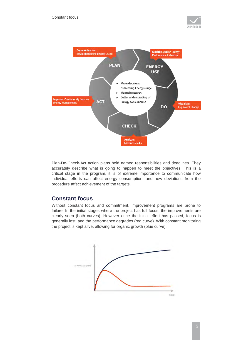



Plan-Do-Check-Act action plans hold named responsibilities and deadlines. They accurately describe what is going to happen to meet the objectives. This is a critical stage in the program, it is of extreme importance to communicate how individual efforts can affect energy consumption, and how deviations from the procedure affect achievement of the targets.

## <span id="page-7-0"></span>**Constant focus**

Without constant focus and commitment, improvement programs are prone to failure. In the initial stages where the project has full focus, the improvements are clearly seen (both curves). However once the initial effort has passed, focus is generally lost, and the performance degrades (red curve). With constant monitoring the project is kept alive, allowing for organic growth (blue curve).